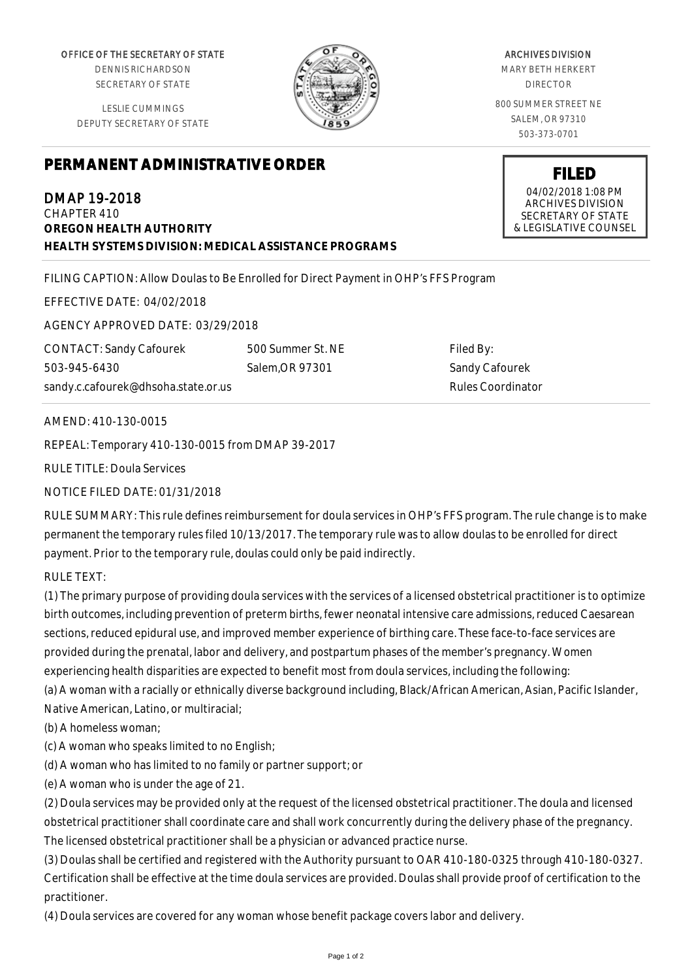OFFICE OF THE SECRETARY OF STATE

DENNIS RICHARDSON SECRETARY OF STATE

LESLIE CUMMINGS DEPUTY SECRETARY OF STATE



## ARCHIVES DIVISION

MARY BETH HERKERT DIRECTOR

800 SUMMER STREET NE SALEM, OR 97310 503-373-0701

> **FILED** 04/02/2018 1:08 PM ARCHIVES DIVISION SECRETARY OF STATE & LEGISLATIVE COUNSEL

## **PERMANENT ADMINISTRATIVE ORDER**

DMAP 19-2018 CHAPTER 410 **OREGON HEALTH AUTHORITY HEALTH SYSTEMS DIVISION: MEDICAL ASSISTANCE PROGRAMS**

FILING CAPTION: Allow Doulas to Be Enrolled for Direct Payment in OHP's FFS Program

EFFECTIVE DATE: 04/02/2018

AGENCY APPROVED DATE: 03/29/2018

CONTACT: Sandy Cafourek 503-945-6430 sandy.c.cafourek@dhsoha.state.or.us 500 Summer St. NE Salem,OR 97301

Filed By: Sandy Cafourek Rules Coordinator

## AMEND: 410-130-0015

REPEAL: Temporary 410-130-0015 from DMAP 39-2017

RULE TITLE: Doula Services

NOTICE FILED DATE: 01/31/2018

RULE SUMMARY: This rule defines reimbursement for doula services in OHP's FFS program. The rule change is to make permanent the temporary rules filed 10/13/2017. The temporary rule was to allow doulas to be enrolled for direct payment. Prior to the temporary rule, doulas could only be paid indirectly.

RULE TEXT:

(1) The primary purpose of providing doula services with the services of a licensed obstetrical practitioner is to optimize birth outcomes, including prevention of preterm births, fewer neonatal intensive care admissions, reduced Caesarean sections, reduced epidural use, and improved member experience of birthing care. These face-to-face services are provided during the prenatal, labor and delivery, and postpartum phases of the member's pregnancy. Women experiencing health disparities are expected to benefit most from doula services, including the following: (a) A woman with a racially or ethnically diverse background including, Black/African American, Asian, Pacific Islander,

Native American, Latino, or multiracial;

(b) A homeless woman;

(c) A woman who speaks limited to no English;

(d) A woman who has limited to no family or partner support; or

(e) A woman who is under the age of 21.

(2) Doula services may be provided only at the request of the licensed obstetrical practitioner. The doula and licensed obstetrical practitioner shall coordinate care and shall work concurrently during the delivery phase of the pregnancy. The licensed obstetrical practitioner shall be a physician or advanced practice nurse.

(3) Doulas shall be certified and registered with the Authority pursuant to OAR 410-180-0325 through 410-180-0327. Certification shall be effective at the time doula services are provided. Doulas shall provide proof of certification to the practitioner.

(4) Doula services are covered for any woman whose benefit package covers labor and delivery.